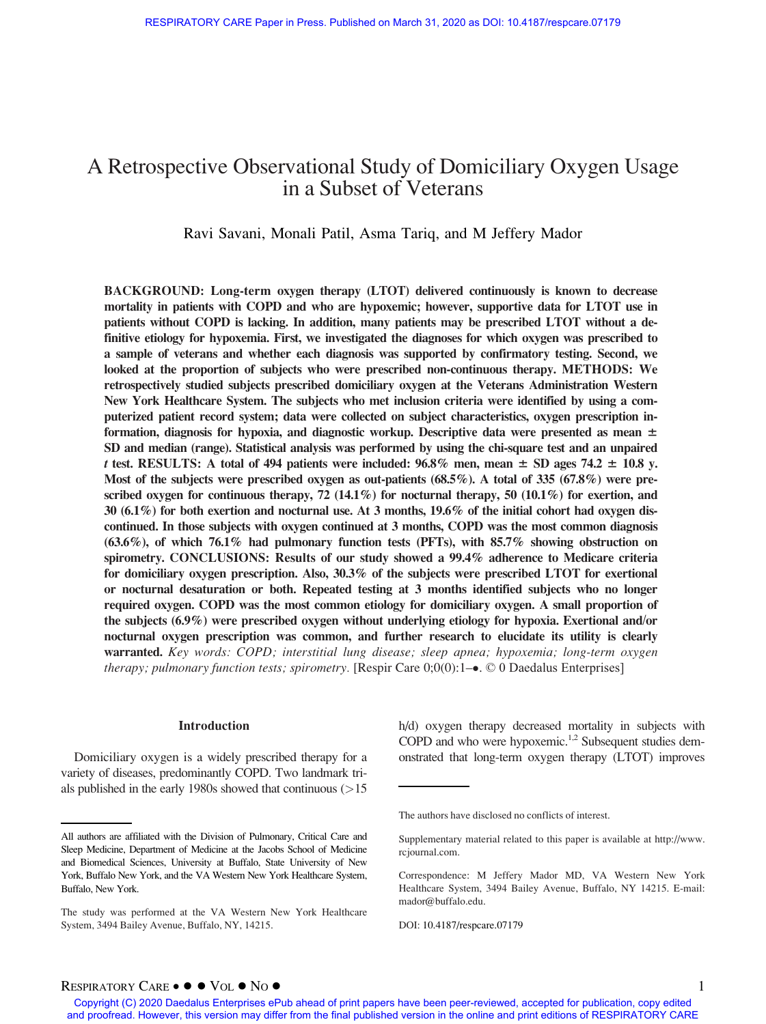# A Retrospective Observational Study of Domiciliary Oxygen Usage in a Subset of Veterans

Ravi Savani, Monali Patil, Asma Tariq, and M Jeffery Mador

BACKGROUND: Long-term oxygen therapy (LTOT) delivered continuously is known to decrease mortality in patients with COPD and who are hypoxemic; however, supportive data for LTOT use in patients without COPD is lacking. In addition, many patients may be prescribed LTOT without a definitive etiology for hypoxemia. First, we investigated the diagnoses for which oxygen was prescribed to a sample of veterans and whether each diagnosis was supported by confirmatory testing. Second, we looked at the proportion of subjects who were prescribed non-continuous therapy. METHODS: We retrospectively studied subjects prescribed domiciliary oxygen at the Veterans Administration Western New York Healthcare System. The subjects who met inclusion criteria were identified by using a computerized patient record system; data were collected on subject characteristics, oxygen prescription information, diagnosis for hypoxia, and diagnostic workup. Descriptive data were presented as mean  $\pm$ SD and median (range). Statistical analysis was performed by using the chi-square test and an unpaired t test. RESULTS: A total of 494 patients were included:  $96.8\%$  men, mean  $\pm$  SD ages 74.2  $\pm$  10.8 y. Most of the subjects were prescribed oxygen as out-patients (68.5%). A total of 335 (67.8%) were prescribed oxygen for continuous therapy, 72  $(14.1\%)$  for nocturnal therapy, 50  $(10.1\%)$  for exertion, and 30 (6.1%) for both exertion and nocturnal use. At 3 months, 19.6% of the initial cohort had oxygen discontinued. In those subjects with oxygen continued at 3 months, COPD was the most common diagnosis (63.6%), of which 76.1% had pulmonary function tests (PFTs), with 85.7% showing obstruction on spirometry. CONCLUSIONS: Results of our study showed a 99.4% adherence to Medicare criteria for domiciliary oxygen prescription. Also, 30.3% of the subjects were prescribed LTOT for exertional or nocturnal desaturation or both. Repeated testing at 3 months identified subjects who no longer required oxygen. COPD was the most common etiology for domiciliary oxygen. A small proportion of the subjects (6.9%) were prescribed oxygen without underlying etiology for hypoxia. Exertional and/or nocturnal oxygen prescription was common, and further research to elucidate its utility is clearly warranted. Key words: COPD; interstitial lung disease; sleep apnea; hypoxemia; long-term oxygen therapy; pulmonary function tests; spirometry. [Respir Care  $0;0(0)$ :1- $\bullet$ . © 0 Daedalus Enterprises]

#### Introduction

Domiciliary oxygen is a widely prescribed therapy for a variety of diseases, predominantly COPD. Two landmark trials published in the early 1980s showed that continuous  $(>15$  h/d) oxygen therapy decreased mortality in subjects with COPD and who were hypoxemic.<sup>1,2</sup> Subsequent studies demonstrated that long-term oxygen therapy (LTOT) improves

RESPIRATORY  $\text{CARE} \bullet \textcolor{red}{\bullet} \textcolor{blue}{\bullet} \text{No} \textcolor{red}{\bullet}$ <br>Copyright (C) 2020 Daedalus Enterprises ePub ahead of print papers have been peer-reviewed, accepted for publication, copy edited and proofread. However, this version may differ from the final published version in the online and print editions of RESPIRATORY CARE

All authors are affiliated with the Division of Pulmonary, Critical Care and Sleep Medicine, Department of Medicine at the Jacobs School of Medicine and Biomedical Sciences, University at Buffalo, State University of New York, Buffalo New York, and the VA Western New York Healthcare System, Buffalo, New York.

The study was performed at the VA Western New York Healthcare System, 3494 Bailey Avenue, Buffalo, NY, 14215.

The authors have disclosed no conflicts of interest.

Supplementary material related to this paper is available at [http://www.](http://www.rcjournal.com) [rcjournal.com](http://www.rcjournal.com).

Correspondence: M Jeffery Mador MD, VA Western New York Healthcare System, 3494 Bailey Avenue, Buffalo, NY 14215. E-mail: [mador@buffalo.edu](mailto:mador@buffalo.edu).

DOI: 10.4187/respcare.07179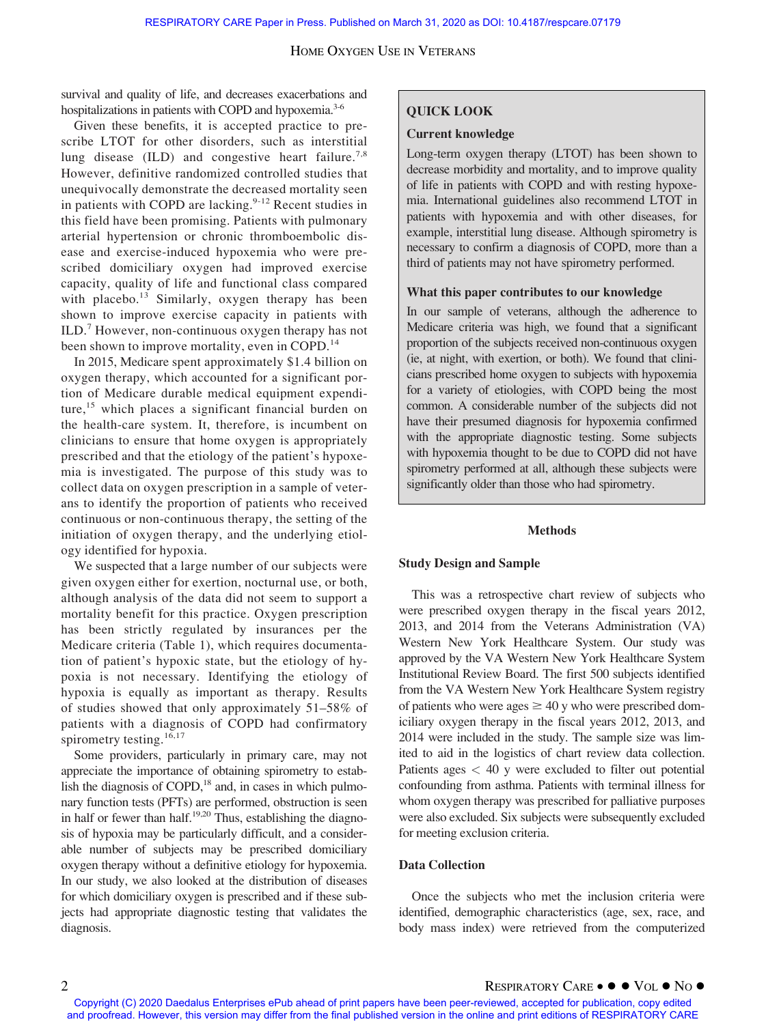survival and quality of life, and decreases exacerbations and hospitalizations in patients with COPD and hypoxemia.<sup>3-6</sup>

Given these benefits, it is accepted practice to prescribe LTOT for other disorders, such as interstitial lung disease (ILD) and congestive heart failure.<sup>7,8</sup> However, definitive randomized controlled studies that unequivocally demonstrate the decreased mortality seen in patients with COPD are lacking. $9-12$  Recent studies in this field have been promising. Patients with pulmonary arterial hypertension or chronic thromboembolic disease and exercise-induced hypoxemia who were prescribed domiciliary oxygen had improved exercise capacity, quality of life and functional class compared with placebo.<sup>13</sup> Similarly, oxygen therapy has been shown to improve exercise capacity in patients with  $ILD.^7$  However, non-continuous oxygen therapy has not been shown to improve mortality, even in COPD.<sup>14</sup>

In 2015, Medicare spent approximately \$1.4 billion on oxygen therapy, which accounted for a significant portion of Medicare durable medical equipment expenditure,<sup>15</sup> which places a significant financial burden on the health-care system. It, therefore, is incumbent on clinicians to ensure that home oxygen is appropriately prescribed and that the etiology of the patient's hypoxemia is investigated. The purpose of this study was to collect data on oxygen prescription in a sample of veterans to identify the proportion of patients who received continuous or non-continuous therapy, the setting of the initiation of oxygen therapy, and the underlying etiology identified for hypoxia.

We suspected that a large number of our subjects were given oxygen either for exertion, nocturnal use, or both, although analysis of the data did not seem to support a mortality benefit for this practice. Oxygen prescription has been strictly regulated by insurances per the Medicare criteria (Table 1), which requires documentation of patient's hypoxic state, but the etiology of hypoxia is not necessary. Identifying the etiology of hypoxia is equally as important as therapy. Results of studies showed that only approximately 51–58% of patients with a diagnosis of COPD had confirmatory spirometry testing.<sup>16,17</sup>

Some providers, particularly in primary care, may not appreciate the importance of obtaining spirometry to establish the diagnosis of COPD, $^{18}$  and, in cases in which pulmonary function tests (PFTs) are performed, obstruction is seen in half or fewer than half.<sup>19,20</sup> Thus, establishing the diagnosis of hypoxia may be particularly difficult, and a considerable number of subjects may be prescribed domiciliary oxygen therapy without a definitive etiology for hypoxemia. In our study, we also looked at the distribution of diseases for which domiciliary oxygen is prescribed and if these subjects had appropriate diagnostic testing that validates the diagnosis.

# QUICK LOOK

### Current knowledge

Long-term oxygen therapy (LTOT) has been shown to decrease morbidity and mortality, and to improve quality of life in patients with COPD and with resting hypoxemia. International guidelines also recommend LTOT in patients with hypoxemia and with other diseases, for example, interstitial lung disease. Although spirometry is necessary to confirm a diagnosis of COPD, more than a third of patients may not have spirometry performed.

#### What this paper contributes to our knowledge

In our sample of veterans, although the adherence to Medicare criteria was high, we found that a significant proportion of the subjects received non-continuous oxygen (ie, at night, with exertion, or both). We found that clinicians prescribed home oxygen to subjects with hypoxemia for a variety of etiologies, with COPD being the most common. A considerable number of the subjects did not have their presumed diagnosis for hypoxemia confirmed with the appropriate diagnostic testing. Some subjects with hypoxemia thought to be due to COPD did not have spirometry performed at all, although these subjects were significantly older than those who had spirometry.

### Methods

#### Study Design and Sample

This was a retrospective chart review of subjects who were prescribed oxygen therapy in the fiscal years 2012, 2013, and 2014 from the Veterans Administration (VA) Western New York Healthcare System. Our study was approved by the VA Western New York Healthcare System Institutional Review Board. The first 500 subjects identified from the VA Western New York Healthcare System registry of patients who were ages  $\geq 40$  y who were prescribed domiciliary oxygen therapy in the fiscal years 2012, 2013, and 2014 were included in the study. The sample size was limited to aid in the logistics of chart review data collection. Patients ages < 40 y were excluded to filter out potential confounding from asthma. Patients with terminal illness for whom oxygen therapy was prescribed for palliative purposes were also excluded. Six subjects were subsequently excluded for meeting exclusion criteria.

### Data Collection

Once the subjects who met the inclusion criteria were identified, demographic characteristics (age, sex, race, and body mass index) were retrieved from the computerized

2 RESPIRATORY CARE VOL NO Copyright (C) 2020 Daedalus Enterprises ePub ahead of print papers have been peer-reviewed, accepted for publication, copy edited and proofread. However, this version may differ from the final published version in the online and print editions of RESPIRATORY CARE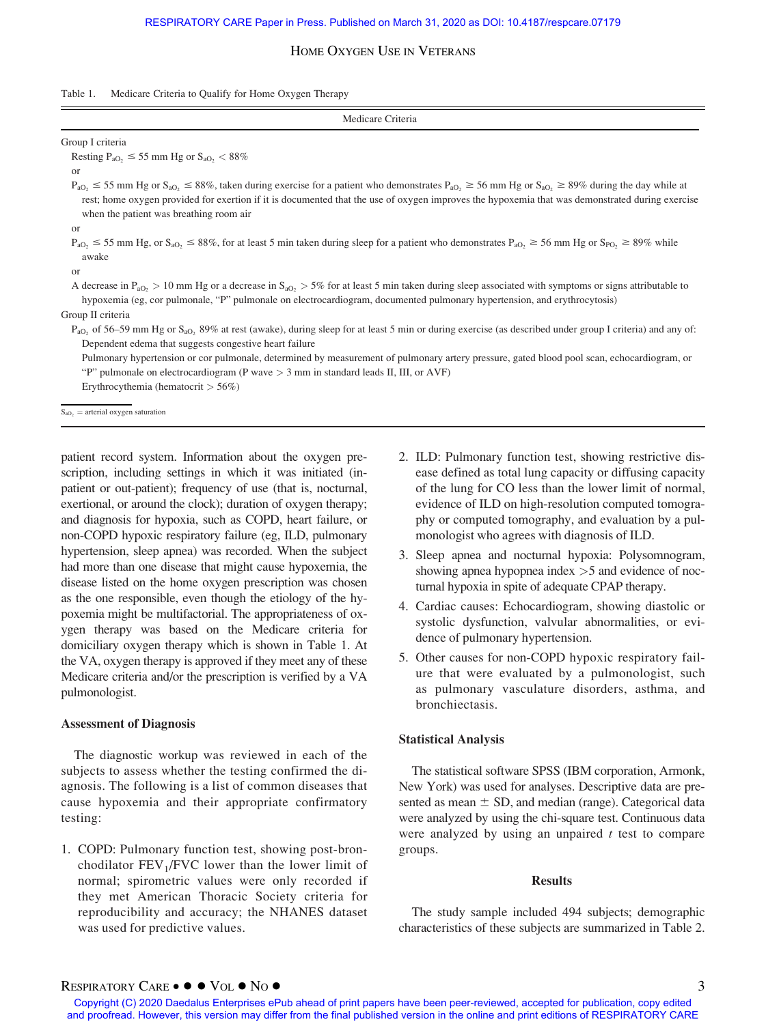| Table 1. | Medicare Criteria to Qualify for Home Oxygen Therapy |  |  |  |
|----------|------------------------------------------------------|--|--|--|
|          |                                                      |  |  |  |

Medicare Criteria

Group I criteria

Resting  $P_{aO_2} \le 55$  mm Hg or  $S_{aO_2} < 88\%$ 

or

 $P_{aO_2} \le 55$  mm Hg or  $S_{aO_2} \le 88\%$ , taken during exercise for a patient who demonstrates  $P_{aO_2} \ge 56$  mm Hg or  $S_{aO_2} \ge 89\%$  during the day while at rest; home oxygen provided for exertion if it is documented that the use of oxygen improves the hypoxemia that was demonstrated during exercise when the patient was breathing room air

or

 $P_{aO_2}$   $\le$  55 mm Hg, or  $S_{aO_2}$   $\le$  88%, for at least 5 min taken during sleep for a patient who demonstrates  $P_{aO_2}$   $\ge$  56 mm Hg or  $S_{PO_2}$   $\ge$  89% while awake

or

A decrease in P<sub>aO2</sub> > 10 mm Hg or a decrease in S<sub>aO<sub>2</sub> > 5% for at least 5 min taken during sleep associated with symptoms or signs attributable to</sub> hypoxemia (eg, cor pulmonale, "P" pulmonale on electrocardiogram, documented pulmonary hypertension, and erythrocytosis)

#### Group II criteria

 $P_{aO}$ , of 56–59 mm Hg or S<sub>aO</sub>, 89% at rest (awake), during sleep for at least 5 min or during exercise (as described under group I criteria) and any of: Dependent edema that suggests congestive heart failure

Pulmonary hypertension or cor pulmonale, determined by measurement of pulmonary artery pressure, gated blood pool scan, echocardiogram, or "P" pulmonale on electrocardiogram (P wave  $> 3$  mm in standard leads II, III, or AVF)

Erythrocythemia (hematocrit > 56%)

 $S_{aO_2}$  = arterial oxygen saturation

patient record system. Information about the oxygen prescription, including settings in which it was initiated (inpatient or out-patient); frequency of use (that is, nocturnal, exertional, or around the clock); duration of oxygen therapy; and diagnosis for hypoxia, such as COPD, heart failure, or non-COPD hypoxic respiratory failure (eg, ILD, pulmonary hypertension, sleep apnea) was recorded. When the subject had more than one disease that might cause hypoxemia, the disease listed on the home oxygen prescription was chosen as the one responsible, even though the etiology of the hypoxemia might be multifactorial. The appropriateness of oxygen therapy was based on the Medicare criteria for domiciliary oxygen therapy which is shown in Table 1. At the VA, oxygen therapy is approved if they meet any of these Medicare criteria and/or the prescription is verified by a VA pulmonologist.

#### Assessment of Diagnosis

The diagnostic workup was reviewed in each of the subjects to assess whether the testing confirmed the diagnosis. The following is a list of common diseases that cause hypoxemia and their appropriate confirmatory testing:

1. COPD: Pulmonary function test, showing post-bronchodilator  $FEV_1/FVC$  lower than the lower limit of normal; spirometric values were only recorded if they met American Thoracic Society criteria for reproducibility and accuracy; the NHANES dataset was used for predictive values.

- 2. ILD: Pulmonary function test, showing restrictive disease defined as total lung capacity or diffusing capacity of the lung for CO less than the lower limit of normal, evidence of ILD on high-resolution computed tomography or computed tomography, and evaluation by a pulmonologist who agrees with diagnosis of ILD.
- 3. Sleep apnea and nocturnal hypoxia: Polysomnogram, showing apnea hypopnea index  $>5$  and evidence of nocturnal hypoxia in spite of adequate CPAP therapy.
- 4. Cardiac causes: Echocardiogram, showing diastolic or systolic dysfunction, valvular abnormalities, or evidence of pulmonary hypertension.
- 5. Other causes for non-COPD hypoxic respiratory failure that were evaluated by a pulmonologist, such as pulmonary vasculature disorders, asthma, and bronchiectasis.

#### Statistical Analysis

The statistical software SPSS (IBM corporation, Armonk, New York) was used for analyses. Descriptive data are presented as mean  $\pm$  SD, and median (range). Categorical data were analyzed by using the chi-square test. Continuous data were analyzed by using an unpaired  $t$  test to compare groups.

#### Results

The study sample included 494 subjects; demographic characteristics of these subjects are summarized in Table 2.

RESPIRATORY  $\text{CARE} \bullet \textcolor{red}{\bullet} \textcolor{blue}{\bullet} \text{No} \textcolor{red}{\bullet}$ <br>Copyright (C) 2020 Daedalus Enterprises ePub ahead of print papers have been peer-reviewed, accepted for publication, copy edited and proofread. However, this version may differ from the final published version in the online and print editions of RESPIRATORY CARE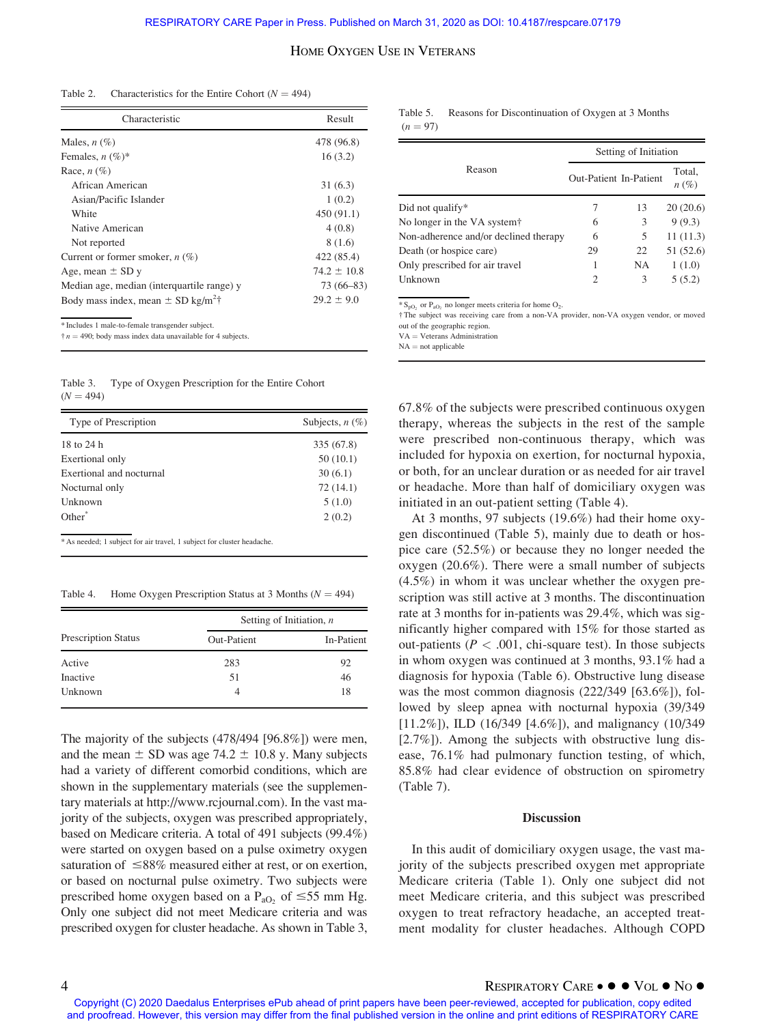| Table 2. | Characteristics for the Entire Cohort ( $N = 494$ ) |
|----------|-----------------------------------------------------|
|----------|-----------------------------------------------------|

| Characteristic                                     | Result          |
|----------------------------------------------------|-----------------|
| Males, $n(\%)$                                     | 478 (96.8)      |
| Females, $n \ (\%)^*$                              | 16(3.2)         |
| Race, $n$ $(\%)$                                   |                 |
| African American                                   | 31(6.3)         |
| Asian/Pacific Islander                             | 1(0.2)          |
| White                                              | 450(91.1)       |
| Native American                                    | 4(0.8)          |
| Not reported                                       | 8(1.6)          |
| Current or former smoker, $n$ (%)                  | 422 (85.4)      |
| Age, mean $\pm$ SD y                               | $74.2 \pm 10.8$ |
| Median age, median (interquartile range) y         | $73(66-83)$     |
| Body mass index, mean $\pm$ SD kg/m <sup>2</sup> † | $29.2 \pm 9.0$  |

\* Includes 1 male-to-female transgender subject.

 $\dot{\tau}$  n = 490; body mass index data unavailable for 4 subjects.

|             | Table 3. Type of Oxygen Prescription for the Entire Cohort |
|-------------|------------------------------------------------------------|
| $(N = 494)$ |                                                            |

| Type of Prescription     | Subjects, $n$ (%) |
|--------------------------|-------------------|
| 18 to 24 h               | 335 (67.8)        |
| Exertional only          | 50(10.1)          |
| Exertional and nocturnal | 30(6.1)           |
| Nocturnal only           | 72(14.1)          |
| Unknown                  | 5(1.0)            |
| $Other^*$                | 2(0.2)            |

\* As needed; 1 subject for air travel, 1 subject for cluster headache.

Table 4. Home Oxygen Prescription Status at 3 Months  $(N = 494)$ 

|                            | Setting of Initiation, $n$ |            |  |
|----------------------------|----------------------------|------------|--|
| <b>Prescription Status</b> | Out-Patient                | In-Patient |  |
| Active                     | 283                        | 92         |  |
| <b>Inactive</b>            | 51                         | 46         |  |
| Unknown                    | 4                          | 18         |  |

The majority of the subjects (478/494 [96.8%]) were men, and the mean  $\pm$  SD was age 74.2  $\pm$  10.8 y. Many subjects had a variety of different comorbid conditions, which are shown in the supplementary materials (see the supplementary materials at<http://www.rcjournal.com>). In the vast majority of the subjects, oxygen was prescribed appropriately, based on Medicare criteria. A total of 491 subjects (99.4%) were started on oxygen based on a pulse oximetry oxygen saturation of  $\leq 88\%$  measured either at rest, or on exertion, or based on nocturnal pulse oximetry. Two subjects were prescribed home oxygen based on a  $P_{aO_2}$  of  $\leq$ 55 mm Hg. Only one subject did not meet Medicare criteria and was prescribed oxygen for cluster headache. As shown in Table 3, Table 5. Reasons for Discontinuation of Oxygen at 3 Months  $(n = 97)$ 

|                                         | Setting of Initiation  |           |                   |  |
|-----------------------------------------|------------------------|-----------|-------------------|--|
| Reason                                  | Out-Patient In-Patient |           | Total,<br>$n(\%)$ |  |
| Did not qualify*                        |                        | 13        | 20(20.6)          |  |
| No longer in the VA system <sup>†</sup> | 6                      | 3         | 9(9.3)            |  |
| Non-adherence and/or declined therapy   | 6                      | 5         | 11(11.3)          |  |
| Death (or hospice care)                 | 29                     | 22        | 51 (52.6)         |  |
| Only prescribed for air travel          | 1                      | <b>NA</b> | 1(1.0)            |  |
| Unknown                                 | 2                      | 3         | 5(5.2)            |  |

 $* S_{pQ}$ , or P<sub>aO</sub>, no longer meets criteria for home O<sub>2</sub>.

† The subject was receiving care from a non-VA provider, non-VA oxygen vendor, or moved out of the geographic region.

VA = Veterans Administration

 $NA = not applicable$ 

67.8% of the subjects were prescribed continuous oxygen therapy, whereas the subjects in the rest of the sample were prescribed non-continuous therapy, which was included for hypoxia on exertion, for nocturnal hypoxia, or both, for an unclear duration or as needed for air travel or headache. More than half of domiciliary oxygen was initiated in an out-patient setting (Table 4).

At 3 months, 97 subjects (19.6%) had their home oxygen discontinued (Table 5), mainly due to death or hospice care (52.5%) or because they no longer needed the oxygen (20.6%). There were a small number of subjects (4.5%) in whom it was unclear whether the oxygen prescription was still active at 3 months. The discontinuation rate at 3 months for in-patients was 29.4%, which was significantly higher compared with 15% for those started as out-patients ( $P < .001$ , chi-square test). In those subjects in whom oxygen was continued at 3 months, 93.1% had a diagnosis for hypoxia (Table 6). Obstructive lung disease was the most common diagnosis (222/349 [63.6%]), followed by sleep apnea with nocturnal hypoxia (39/349 [11.2%]), ILD (16/349 [4.6%]), and malignancy (10/349) [2.7%]). Among the subjects with obstructive lung disease, 76.1% had pulmonary function testing, of which, 85.8% had clear evidence of obstruction on spirometry (Table 7).

#### **Discussion**

In this audit of domiciliary oxygen usage, the vast majority of the subjects prescribed oxygen met appropriate Medicare criteria (Table 1). Only one subject did not meet Medicare criteria, and this subject was prescribed oxygen to treat refractory headache, an accepted treatment modality for cluster headaches. Although COPD

4 RESPIRATORY CARE ● ● VOL ● NO ●<br>Copyright (C) 2020 Daedalus Enterprises ePub ahead of print papers have been peer-reviewed, accepted for publication, copy edited and proofread. However, this version may differ from the final published version in the online and print editions of RESPIRATORY CARE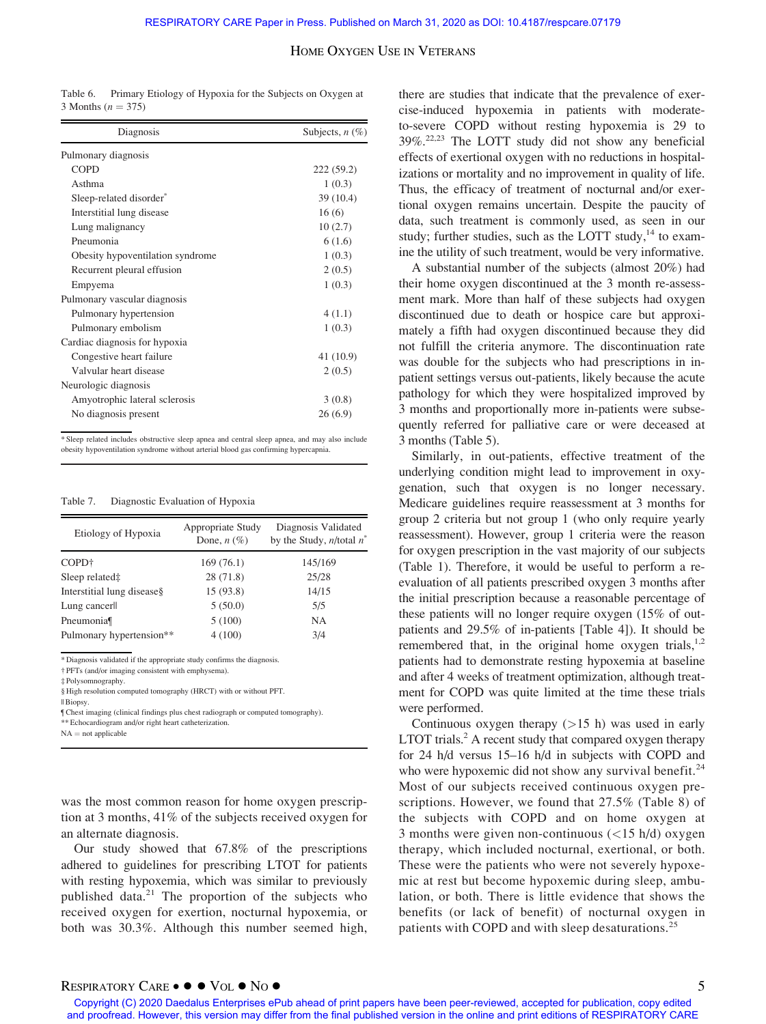Table 6. Primary Etiology of Hypoxia for the Subjects on Oxygen at 3 Months ( $n = 375$ )

| Diagnosis                        | Subjects, $n(\%)$ |
|----------------------------------|-------------------|
| Pulmonary diagnosis              |                   |
| <b>COPD</b>                      | 222(59.2)         |
| Asthma                           | 1(0.3)            |
| Sleep-related disorder"          | 39 (10.4)         |
| Interstitial lung disease        | 16(6)             |
| Lung malignancy                  | 10(2.7)           |
| Pneumonia                        | 6(1.6)            |
| Obesity hypoventilation syndrome | 1(0.3)            |
| Recurrent pleural effusion       | 2(0.5)            |
| Empyema                          | 1(0.3)            |
| Pulmonary vascular diagnosis     |                   |
| Pulmonary hypertension           | 4(1.1)            |
| Pulmonary embolism               | 1(0.3)            |
| Cardiac diagnosis for hypoxia    |                   |
| Congestive heart failure         | 41 (10.9)         |
| Valvular heart disease           | 2(0.5)            |
| Neurologic diagnosis             |                   |
| Amyotrophic lateral sclerosis    | 3(0.8)            |
| No diagnosis present             | 26(6.9)           |

\* Sleep related includes obstructive sleep apnea and central sleep apnea, and may also include obesity hypoventilation syndrome without arterial blood gas confirming hypercapnia.

| Table 7. | Diagnostic Evaluation of Hypoxia |  |  |
|----------|----------------------------------|--|--|
|          |                                  |  |  |

| Etiology of Hypoxia        | Appropriate Study<br>Done, $n(\%)$ | Diagnosis Validated<br>by the Study, <i>n</i> /total $n^*$ |  |
|----------------------------|------------------------------------|------------------------------------------------------------|--|
| COPD <sup>+</sup>          | 169(76.1)                          | 145/169                                                    |  |
| Sleep related‡             | 28(71.8)                           | 25/28                                                      |  |
| Interstitial lung disease§ | 15(93.8)                           | 14/15                                                      |  |
| Lung cancerll              | 5(50.0)                            | 5/5                                                        |  |
| Pneumonia                  | 5(100)                             | <b>NA</b>                                                  |  |
| Pulmonary hypertension**   | 4(100)                             | 3/4                                                        |  |

\* Diagnosis validated if the appropriate study confirms the diagnosis.

† PFTs (and/or imaging consistent with emphysema).

‡ Polysomnography.

§ High resolution computed tomography (HRCT) with or without PFT.

|| Biopsy.

¶ Chest imaging (clinical findings plus chest radiograph or computed tomography).

\*\* Echocardiogram and/or right heart catheterization.

 $NA = not applicable$ 

was the most common reason for home oxygen prescription at 3 months, 41% of the subjects received oxygen for an alternate diagnosis.

Our study showed that 67.8% of the prescriptions adhered to guidelines for prescribing LTOT for patients with resting hypoxemia, which was similar to previously published data. $^{21}$  The proportion of the subjects who received oxygen for exertion, nocturnal hypoxemia, or both was 30.3%. Although this number seemed high, there are studies that indicate that the prevalence of exercise-induced hypoxemia in patients with moderateto-severe COPD without resting hypoxemia is 29 to 39%.22,23 The LOTT study did not show any beneficial effects of exertional oxygen with no reductions in hospitalizations or mortality and no improvement in quality of life. Thus, the efficacy of treatment of nocturnal and/or exertional oxygen remains uncertain. Despite the paucity of data, such treatment is commonly used, as seen in our study; further studies, such as the LOTT study, $14$  to examine the utility of such treatment, would be very informative.

A substantial number of the subjects (almost 20%) had their home oxygen discontinued at the 3 month re-assessment mark. More than half of these subjects had oxygen discontinued due to death or hospice care but approximately a fifth had oxygen discontinued because they did not fulfill the criteria anymore. The discontinuation rate was double for the subjects who had prescriptions in inpatient settings versus out-patients, likely because the acute pathology for which they were hospitalized improved by 3 months and proportionally more in-patients were subsequently referred for palliative care or were deceased at 3 months (Table 5).

Similarly, in out-patients, effective treatment of the underlying condition might lead to improvement in oxygenation, such that oxygen is no longer necessary. Medicare guidelines require reassessment at 3 months for group 2 criteria but not group 1 (who only require yearly reassessment). However, group 1 criteria were the reason for oxygen prescription in the vast majority of our subjects (Table 1). Therefore, it would be useful to perform a reevaluation of all patients prescribed oxygen 3 months after the initial prescription because a reasonable percentage of these patients will no longer require oxygen (15% of outpatients and 29.5% of in-patients [Table 4]). It should be remembered that, in the original home oxygen trials,  $1,2$ patients had to demonstrate resting hypoxemia at baseline and after 4 weeks of treatment optimization, although treatment for COPD was quite limited at the time these trials were performed.

Continuous oxygen therapy  $(>15 \text{ h})$  was used in early LTOT trials. $<sup>2</sup>$  A recent study that compared oxygen therapy</sup> for 24 h/d versus 15–16 h/d in subjects with COPD and who were hypoxemic did not show any survival benefit.<sup>24</sup> Most of our subjects received continuous oxygen prescriptions. However, we found that 27.5% (Table 8) of the subjects with COPD and on home oxygen at 3 months were given non-continuous  $\left(\frac{15 \text{ h/d}}{9 \text{ oxygen}}\right)$ therapy, which included nocturnal, exertional, or both. These were the patients who were not severely hypoxemic at rest but become hypoxemic during sleep, ambulation, or both. There is little evidence that shows the benefits (or lack of benefit) of nocturnal oxygen in patients with COPD and with sleep desaturations.<sup>25</sup>

RESPIRATORY  $\text{CARE} \bullet \textcolor{red}{\bullet} \textcolor{blue}{\bullet} \text{No} \textcolor{red}{\bullet}$ <br>Copyright (C) 2020 Daedalus Enterprises ePub ahead of print papers have been peer-reviewed, accepted for publication, copy edited and proofread. However, this version may differ from the final published version in the online and print editions of RESPIRATORY CARE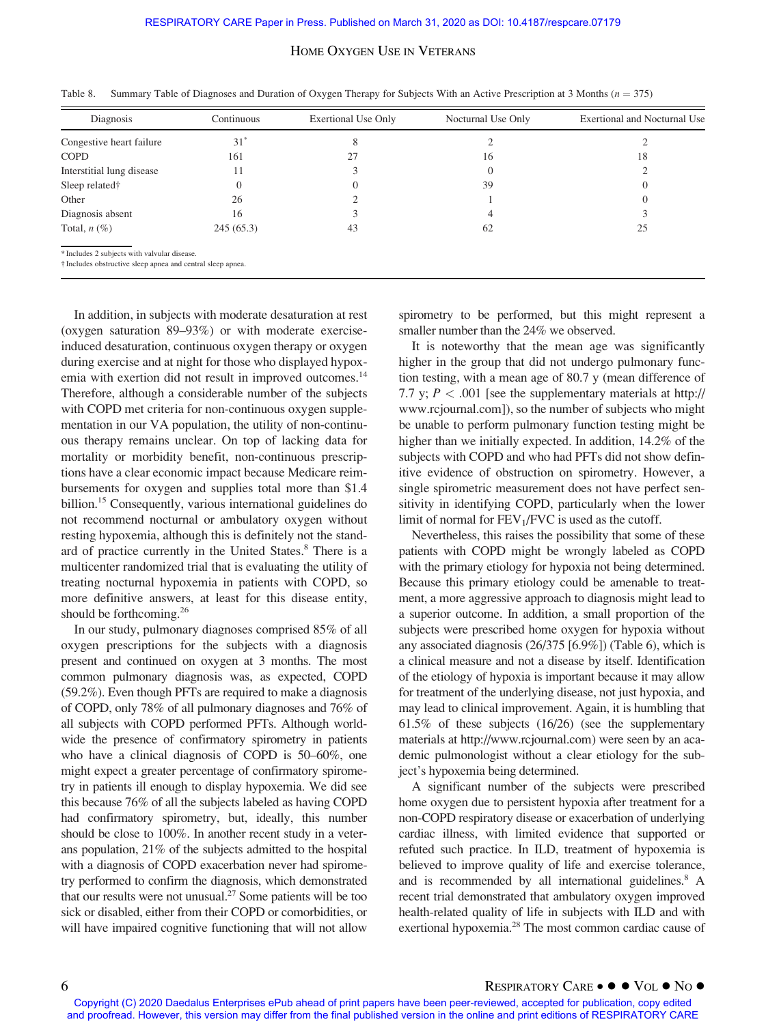| Diagnosis                                                                                                   | Continuous | <b>Exertional Use Only</b> | Nocturnal Use Only | <b>Exertional and Nocturnal Use</b> |
|-------------------------------------------------------------------------------------------------------------|------------|----------------------------|--------------------|-------------------------------------|
| Congestive heart failure                                                                                    | 31         |                            |                    |                                     |
| <b>COPD</b>                                                                                                 | 161        |                            | 16                 | 18                                  |
| Interstitial lung disease                                                                                   | 11         |                            | $\theta$           |                                     |
| Sleep related <sup>†</sup>                                                                                  |            |                            | 39                 |                                     |
| Other                                                                                                       | 26         |                            |                    |                                     |
| Diagnosis absent                                                                                            | 16         |                            |                    |                                     |
| Total, $n(\%)$                                                                                              | 245(65.3)  | 43                         | 62                 | 25                                  |
| * Includes 2 subjects with valvular disease.<br>† Includes obstructive sleep apnea and central sleep apnea. |            |                            |                    |                                     |

Table 8. Summary Table of Diagnoses and Duration of Oxygen Therapy for Subjects With an Active Prescription at 3 Months ( $n = 375$ )

In addition, in subjects with moderate desaturation at rest (oxygen saturation 89–93%) or with moderate exerciseinduced desaturation, continuous oxygen therapy or oxygen during exercise and at night for those who displayed hypoxemia with exertion did not result in improved outcomes.<sup>14</sup> Therefore, although a considerable number of the subjects with COPD met criteria for non-continuous oxygen supplementation in our VA population, the utility of non-continuous therapy remains unclear. On top of lacking data for mortality or morbidity benefit, non-continuous prescriptions have a clear economic impact because Medicare reimbursements for oxygen and supplies total more than \$1.4 billion.<sup>15</sup> Consequently, various international guidelines do not recommend nocturnal or ambulatory oxygen without resting hypoxemia, although this is definitely not the standard of practice currently in the United States.<sup>8</sup> There is a multicenter randomized trial that is evaluating the utility of treating nocturnal hypoxemia in patients with COPD, so more definitive answers, at least for this disease entity, should be forthcoming.<sup>26</sup>

In our study, pulmonary diagnoses comprised 85% of all oxygen prescriptions for the subjects with a diagnosis present and continued on oxygen at 3 months. The most common pulmonary diagnosis was, as expected, COPD (59.2%). Even though PFTs are required to make a diagnosis of COPD, only 78% of all pulmonary diagnoses and 76% of all subjects with COPD performed PFTs. Although worldwide the presence of confirmatory spirometry in patients who have a clinical diagnosis of COPD is 50–60%, one might expect a greater percentage of confirmatory spirometry in patients ill enough to display hypoxemia. We did see this because 76% of all the subjects labeled as having COPD had confirmatory spirometry, but, ideally, this number should be close to 100%. In another recent study in a veterans population, 21% of the subjects admitted to the hospital with a diagnosis of COPD exacerbation never had spirometry performed to confirm the diagnosis, which demonstrated that our results were not unusual. $27$  Some patients will be too sick or disabled, either from their COPD or comorbidities, or will have impaired cognitive functioning that will not allow spirometry to be performed, but this might represent a smaller number than the 24% we observed.

It is noteworthy that the mean age was significantly higher in the group that did not undergo pulmonary function testing, with a mean age of 80.7 y (mean difference of 7.7 y;  $P < .001$  [see the supplementary materials at [http://](http://www.rcjournal.com) [www.rcjournal.com](http://www.rcjournal.com)]), so the number of subjects who might be unable to perform pulmonary function testing might be higher than we initially expected. In addition, 14.2% of the subjects with COPD and who had PFTs did not show definitive evidence of obstruction on spirometry. However, a single spirometric measurement does not have perfect sensitivity in identifying COPD, particularly when the lower limit of normal for  $FEV_1/FVC$  is used as the cutoff.

Nevertheless, this raises the possibility that some of these patients with COPD might be wrongly labeled as COPD with the primary etiology for hypoxia not being determined. Because this primary etiology could be amenable to treatment, a more aggressive approach to diagnosis might lead to a superior outcome. In addition, a small proportion of the subjects were prescribed home oxygen for hypoxia without any associated diagnosis (26/375 [6.9%]) (Table 6), which is a clinical measure and not a disease by itself. Identification of the etiology of hypoxia is important because it may allow for treatment of the underlying disease, not just hypoxia, and may lead to clinical improvement. Again, it is humbling that 61.5% of these subjects (16/26) (see the supplementary materials at [http://www.rcjournal.com\)](http://www.rcjournal.com) were seen by an academic pulmonologist without a clear etiology for the subject's hypoxemia being determined.

A significant number of the subjects were prescribed home oxygen due to persistent hypoxia after treatment for a non-COPD respiratory disease or exacerbation of underlying cardiac illness, with limited evidence that supported or refuted such practice. In ILD, treatment of hypoxemia is believed to improve quality of life and exercise tolerance, and is recommended by all international guidelines.<sup>8</sup> A recent trial demonstrated that ambulatory oxygen improved health-related quality of life in subjects with ILD and with exertional hypoxemia.28 The most common cardiac cause of

<sup>6</sup> RESPIRATORY CARE ● ● VOL ● NO ●<br>Copyright (C) 2020 Daedalus Enterprises ePub ahead of print papers have been peer-reviewed, accepted for publication, copy edited and proofread. However, this version may differ from the final published version in the online and print editions of RESPIRATORY CARE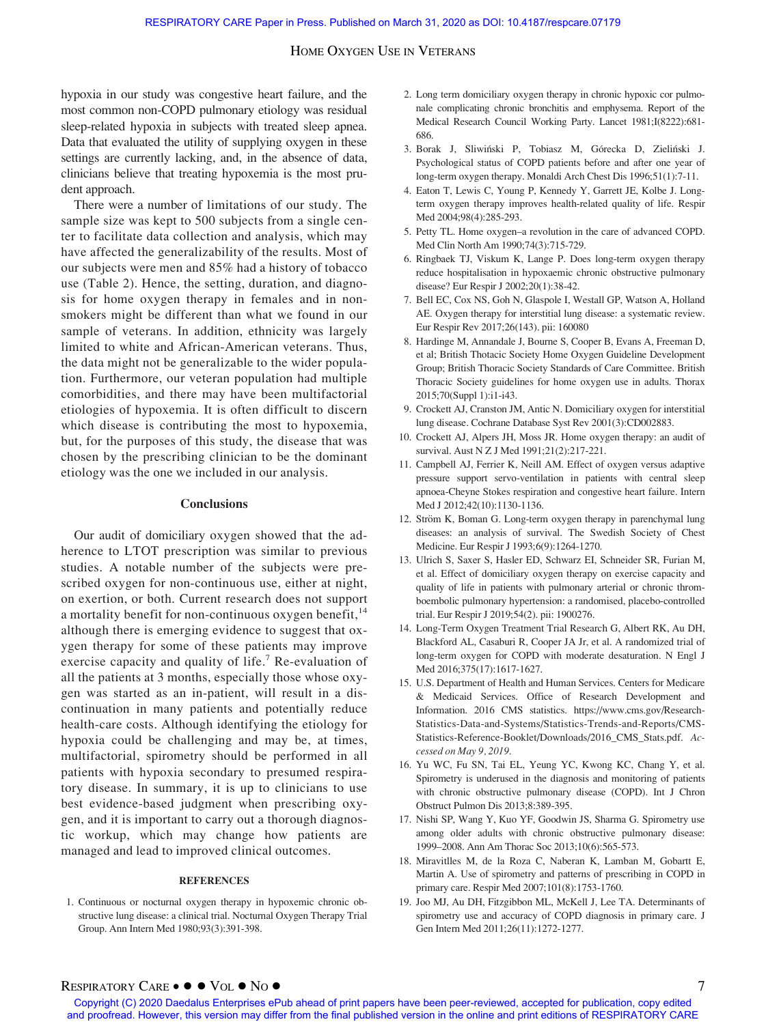hypoxia in our study was congestive heart failure, and the most common non-COPD pulmonary etiology was residual sleep-related hypoxia in subjects with treated sleep apnea. Data that evaluated the utility of supplying oxygen in these settings are currently lacking, and, in the absence of data, clinicians believe that treating hypoxemia is the most prudent approach.

There were a number of limitations of our study. The sample size was kept to 500 subjects from a single center to facilitate data collection and analysis, which may have affected the generalizability of the results. Most of our subjects were men and 85% had a history of tobacco use (Table 2). Hence, the setting, duration, and diagnosis for home oxygen therapy in females and in nonsmokers might be different than what we found in our sample of veterans. In addition, ethnicity was largely limited to white and African-American veterans. Thus, the data might not be generalizable to the wider population. Furthermore, our veteran population had multiple comorbidities, and there may have been multifactorial etiologies of hypoxemia. It is often difficult to discern which disease is contributing the most to hypoxemia, but, for the purposes of this study, the disease that was chosen by the prescribing clinician to be the dominant etiology was the one we included in our analysis.

#### **Conclusions**

Our audit of domiciliary oxygen showed that the adherence to LTOT prescription was similar to previous studies. A notable number of the subjects were prescribed oxygen for non-continuous use, either at night, on exertion, or both. Current research does not support a mortality benefit for non-continuous oxygen benefit, $14$ although there is emerging evidence to suggest that oxygen therapy for some of these patients may improve exercise capacity and quality of life.<sup>7</sup> Re-evaluation of all the patients at 3 months, especially those whose oxygen was started as an in-patient, will result in a discontinuation in many patients and potentially reduce health-care costs. Although identifying the etiology for hypoxia could be challenging and may be, at times, multifactorial, spirometry should be performed in all patients with hypoxia secondary to presumed respiratory disease. In summary, it is up to clinicians to use best evidence-based judgment when prescribing oxygen, and it is important to carry out a thorough diagnostic workup, which may change how patients are managed and lead to improved clinical outcomes.

#### **REFERENCES**

1. Continuous or nocturnal oxygen therapy in hypoxemic chronic obstructive lung disease: a clinical trial. Nocturnal Oxygen Therapy Trial Group. Ann Intern Med 1980;93(3):391-398.

- 2. Long term domiciliary oxygen therapy in chronic hypoxic cor pulmonale complicating chronic bronchitis and emphysema. Report of the Medical Research Council Working Party. Lancet 1981;I(8222):681- 686.
- 3. Borak J, Sliwiński P, Tobiasz M, Górecka D, Zieliński J. Psychological status of COPD patients before and after one year of long-term oxygen therapy. Monaldi Arch Chest Dis 1996;51(1):7-11.
- 4. Eaton T, Lewis C, Young P, Kennedy Y, Garrett JE, Kolbe J. Longterm oxygen therapy improves health-related quality of life. Respir Med 2004;98(4):285-293.
- 5. Petty TL. Home oxygen–a revolution in the care of advanced COPD. Med Clin North Am 1990;74(3):715-729.
- 6. Ringbaek TJ, Viskum K, Lange P. Does long-term oxygen therapy reduce hospitalisation in hypoxaemic chronic obstructive pulmonary disease? Eur Respir J 2002;20(1):38-42.
- 7. Bell EC, Cox NS, Goh N, Glaspole I, Westall GP, Watson A, Holland AE. Oxygen therapy for interstitial lung disease: a systematic review. Eur Respir Rev 2017;26(143). pii: 160080
- 8. Hardinge M, Annandale J, Bourne S, Cooper B, Evans A, Freeman D, et al; British Thotacic Society Home Oxygen Guideline Development Group; British Thoracic Society Standards of Care Committee. British Thoracic Society guidelines for home oxygen use in adults. Thorax 2015;70(Suppl 1):i1-i43.
- 9. Crockett AJ, Cranston JM, Antic N. Domiciliary oxygen for interstitial lung disease. Cochrane Database Syst Rev 2001(3):CD002883.
- 10. Crockett AJ, Alpers JH, Moss JR. Home oxygen therapy: an audit of survival. Aust N Z J Med 1991;21(2):217-221.
- 11. Campbell AJ, Ferrier K, Neill AM. Effect of oxygen versus adaptive pressure support servo-ventilation in patients with central sleep apnoea-Cheyne Stokes respiration and congestive heart failure. Intern Med J 2012;42(10):1130-1136.
- 12. Ström K, Boman G. Long-term oxygen therapy in parenchymal lung diseases: an analysis of survival. The Swedish Society of Chest Medicine. Eur Respir J 1993;6(9):1264-1270.
- 13. Ulrich S, Saxer S, Hasler ED, Schwarz EI, Schneider SR, Furian M, et al. Effect of domiciliary oxygen therapy on exercise capacity and quality of life in patients with pulmonary arterial or chronic thromboembolic pulmonary hypertension: a randomised, placebo-controlled trial. Eur Respir J 2019;54(2). pii: 1900276.
- 14. Long-Term Oxygen Treatment Trial Research G, Albert RK, Au DH, Blackford AL, Casaburi R, Cooper JA Jr, et al. A randomized trial of long-term oxygen for COPD with moderate desaturation. N Engl J Med 2016;375(17):1617-1627.
- 15. U.S. Department of Health and Human Services. Centers for Medicare & Medicaid Services. Office of Research Development and Information. 2016 CMS statistics. [https://www.cms.gov/Research-](https://www.cms.gov/Research-Statistics-Data-and-Systems/Statistics-Trends-and-Reports/CMS-Statistics-Reference-Booklet/Downloads/2016_CMS_Stats.pdf)[Statistics-Data-and-Systems/Statistics-Trends-and-Reports/CMS-](https://www.cms.gov/Research-Statistics-Data-and-Systems/Statistics-Trends-and-Reports/CMS-Statistics-Reference-Booklet/Downloads/2016_CMS_Stats.pdf)Statistics-Reference-Booklet/Downloads/2016 CMS Stats.pdf. Accessed on May 9, 2019.
- 16. Yu WC, Fu SN, Tai EL, Yeung YC, Kwong KC, Chang Y, et al. Spirometry is underused in the diagnosis and monitoring of patients with chronic obstructive pulmonary disease (COPD). Int J Chron Obstruct Pulmon Dis 2013;8:389-395.
- 17. Nishi SP, Wang Y, Kuo YF, Goodwin JS, Sharma G. Spirometry use among older adults with chronic obstructive pulmonary disease: 1999–2008. Ann Am Thorac Soc 2013;10(6):565-573.
- 18. Miravitlles M, de la Roza C, Naberan K, Lamban M, Gobartt E, Martin A. Use of spirometry and patterns of prescribing in COPD in primary care. Respir Med 2007;101(8):1753-1760.
- 19. Joo MJ, Au DH, Fitzgibbon ML, McKell J, Lee TA. Determinants of spirometry use and accuracy of COPD diagnosis in primary care. J Gen Intern Med 2011;26(11):1272-1277.

RESPIRATORY  $\text{CARE} \bullet \textcolor{red}{\bullet} \textcolor{red}{\bullet} \text{Vo} \textcolor{red}{\bullet}$ <br>Copyright (C) 2020 Daedalus Enterprises ePub ahead of print papers have been peer-reviewed, accepted for publication, copy edited and proofread. However, this version may differ from the final published version in the online and print editions of RESPIRATORY CARE